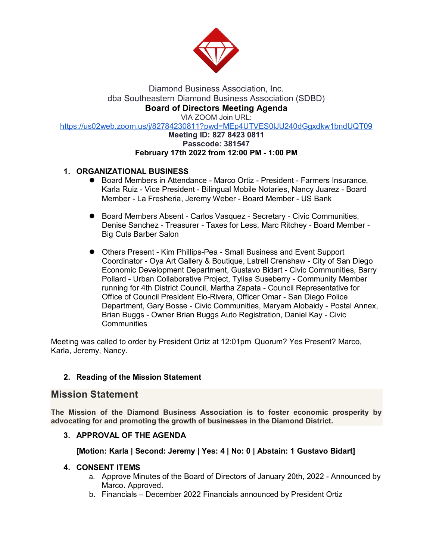

# Diamond Business Association, Inc. dba Southeastern Diamond Business Association (SDBD) **Board of Directors Meeting Agenda**

VIA ZOOM Join URL:

[https://us02web.zoom.us/j/82784230811?pwd=MEp4UTVES0lJU240dGgxdkw1bndUQT09](about:blank)

#### **Meeting ID: 827 8423 0811 Passcode: 381547 February 17th 2022 from 12:00 PM - 1:00 PM**

### **1. [ORGANIZATIONAL BUSINESS](about:blank)**

- Board Members in Attendance Marco Ortiz President Farmers Insurance, Karla Ruiz - Vice President - Bilingual Mobile Notaries, Nancy Juarez - Board Member - La Fresheria, Jeremy Weber - Board Member - US Bank
- Board Members Absent Carlos Vasquez Secretary Civic Communities, Denise Sanchez - Treasurer - Taxes for Less, Marc Ritchey - Board Member - Big Cuts Barber Salon
- Others Present Kim Phillips-Pea Small Business and Event Support Coordinator - Oya Art Gallery & Boutique, Latrell Crenshaw - City of San Diego Economic Development Department, Gustavo Bidart - Civic Communities, Barry Pollard - Urban Collaborative Project, Tylisa Suseberry - Community Member running for 4th District Council, Martha Zapata - Council Representative for Office of Council President Elo-Rivera, Officer Omar - San Diego Police Department, Gary Bosse - Civic Communities, Maryam Alobaidy - Postal Annex, Brian Buggs - Owner Brian Buggs Auto Registration, Daniel Kay - Civic **Communities**

Meeting was called to order by President Ortiz at 12:01pm Quorum? Yes Present? Marco, Karla, Jeremy, Nancy.

#### **2. Reading of the Mission Statement**

## **Mission Statement**

**The Mission of the Diamond Business Association is to foster economic prosperity by advocating for and promoting the growth of businesses in the Diamond District.**

#### **3. APPROVAL OF THE AGENDA**

#### **[Motion: Karla | Second: Jeremy | Yes: 4 | No: 0 | Abstain: 1 Gustavo Bidart]**

#### **4. CONSENT ITEMS**

- a. Approve Minutes of the Board of Directors of January 20th, 2022 Announced by Marco. Approved.
- b. Financials December 2022 Financials announced by President Ortiz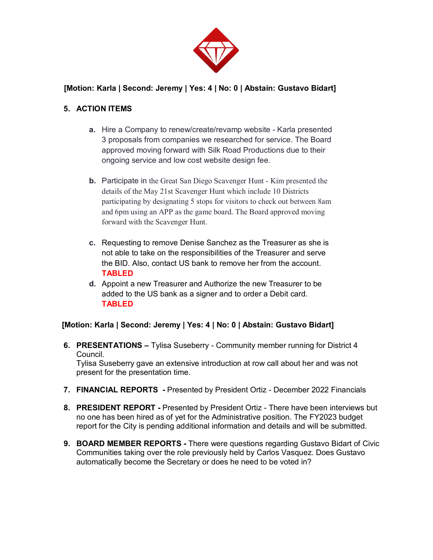

## **[Motion: Karla | Second: Jeremy | Yes: 4 | No: 0 | Abstain: Gustavo Bidart]**

## **5. ACTION ITEMS**

- **a.** Hire a Company to renew/create/revamp website Karla presented 3 proposals from companies we researched for service. The Board approved moving forward with Silk Road Productions due to their ongoing service and low cost website design fee.
- **b.** Participate in the Great San Diego Scavenger Hunt Kim presented the details of the May 21st Scavenger Hunt which include 10 Districts participating by designating 5 stops for visitors to check out between 8am and 6pm using an APP as the game board. The Board approved moving forward with the Scavenger Hunt.
- **c.** Requesting to remove Denise Sanchez as the Treasurer as she is not able to take on the responsibilities of the Treasurer and serve the BID. Also, contact US bank to remove her from the account. **TABLED**
- **d.** Appoint a new Treasurer and Authorize the new Treasurer to be added to the US bank as a signer and to order a Debit card. **TABLED**

## **[Motion: Karla | Second: Jeremy | Yes: 4 | No: 0 | Abstain: Gustavo Bidart]**

**6. PRESENTATIONS –** Tylisa Suseberry - Community member running for District 4 Council.

Tylisa Suseberry gave an extensive introduction at row call about her and was not present for the presentation time.

- **7. FINANCIAL REPORTS -** Presented by President Ortiz December 2022 Financials
- **8. PRESIDENT REPORT -** Presented by President Ortiz There have been interviews but no one has been hired as of yet for the Administrative position. The FY2023 budget report for the City is pending additional information and details and will be submitted.
- **9. BOARD MEMBER REPORTS -** There were questions regarding Gustavo Bidart of Civic Communities taking over the role previously held by Carlos Vasquez. Does Gustavo automatically become the Secretary or does he need to be voted in?